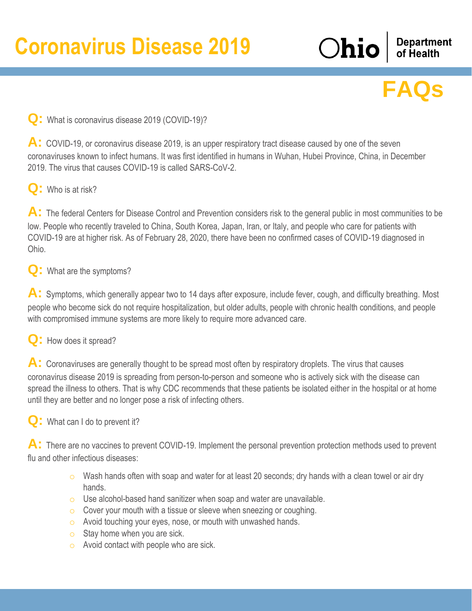**Department**<br>of Health

Ohio

# **FAQs**

#### **Q:** What is coronavirus disease 2019 (COVID-19)?

A: COVID-19, or coronavirus disease 2019, is an upper respiratory tract disease caused by one of the seven coronaviruses known to infect humans. It was first identified in humans in Wuhan, Hubei Province, China, in December 2019. The virus that causes COVID-19 is called SARS-CoV-2.

## **Q:** Who is at risk?

A: The federal Centers for Disease Control and Prevention considers risk to the general public in most communities to be low. People who recently traveled to China, South Korea, Japan, Iran, or Italy, and people who care for patients with COVID-19 are at higher risk. As of February 28, 2020, there have been no confirmed cases of COVID-19 diagnosed in Ohio.

**Q:** What are the symptoms?

A: Symptoms, which generally appear two to 14 days after exposure, include fever, cough, and difficulty breathing. Most people who become sick do not require hospitalization, but older adults, people with chronic health conditions, and people with compromised immune systems are more likely to require more advanced care.

## **Q:** How does it spread?

A: Coronaviruses are generally thought to be spread most often by respiratory droplets. The virus that causes coronavirus disease 2019 is spreading from person-to-person and someone who is actively sick with the disease can spread the illness to others. That is why CDC recommends that these patients be isolated either in the hospital or at home until they are better and no longer pose a risk of infecting others.

# **Q:** What can I do to prevent it?

A: There are no vaccines to prevent COVID-19. Implement the personal prevention protection methods used to prevent flu and other infectious diseases:

- o Wash hands often with soap and water for at least 20 seconds; dry hands with a clean towel or air dry hands.
- o Use alcohol-based hand sanitizer when soap and water are unavailable.
- o Cover your mouth with a tissue or sleeve when sneezing or coughing.
- o Avoid touching your eyes, nose, or mouth with unwashed hands.
- o Stay home when you are sick.
- o Avoid contact with people who are sick.